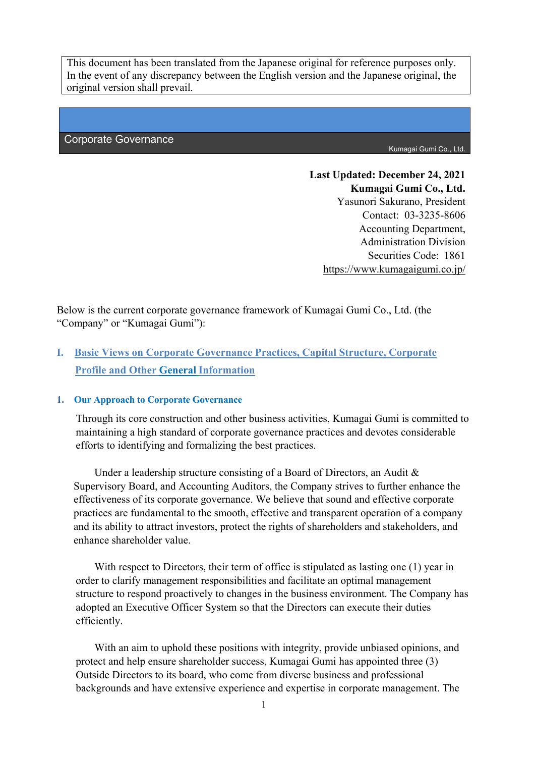This document has been translated from the Japanese original for reference purposes only. In the event of any discrepancy between the English version and the Japanese original, the original version shall prevail.

#### Corporate Governance

Kumagai Gumi Co., Ltd.

**Last Updated: December 24, 2021 Kumagai Gumi Co., Ltd.** Yasunori Sakurano, President Contact: 03-3235-8606 Accounting Department, Administration Division Securities Code: 1861 https://www.kumagaigumi.co.jp/

Below is the current corporate governance framework of Kumagai Gumi Co., Ltd. (the "Company" or "Kumagai Gumi"):

# **I. Basic Views on Corporate Governance Practices, Capital Structure, Corporate Profile and Other General Information**

#### **1. Our Approach to Corporate Governance**

Through its core construction and other business activities, Kumagai Gumi is committed to maintaining a high standard of corporate governance practices and devotes considerable efforts to identifying and formalizing the best practices.

Under a leadership structure consisting of a Board of Directors, an Audit & Supervisory Board, and Accounting Auditors, the Company strives to further enhance the effectiveness of its corporate governance. We believe that sound and effective corporate practices are fundamental to the smooth, effective and transparent operation of a company and its ability to attract investors, protect the rights of shareholders and stakeholders, and enhance shareholder value.

With respect to Directors, their term of office is stipulated as lasting one (1) year in order to clarify management responsibilities and facilitate an optimal management structure to respond proactively to changes in the business environment. The Company has adopted an Executive Officer System so that the Directors can execute their duties efficiently.

 With an aim to uphold these positions with integrity, provide unbiased opinions, and protect and help ensure shareholder success, Kumagai Gumi has appointed three (3) Outside Directors to its board, who come from diverse business and professional backgrounds and have extensive experience and expertise in corporate management. The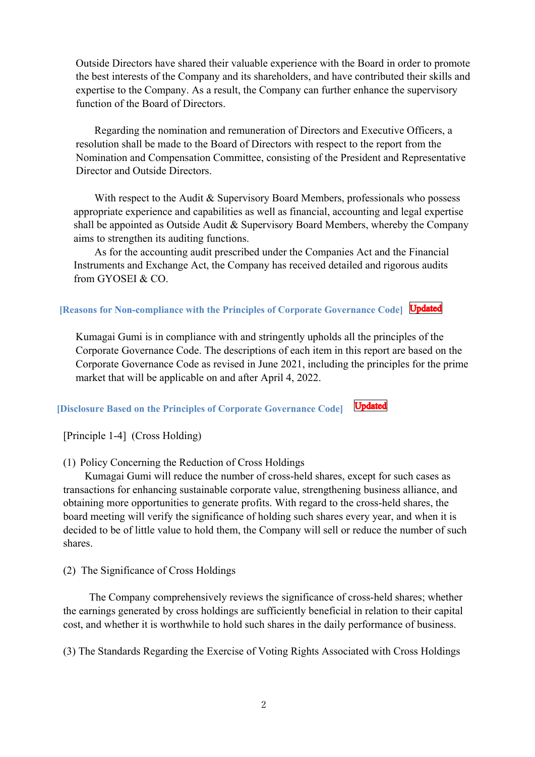Outside Directors have shared their valuable experience with the Board in order to promote the best interests of the Company and its shareholders, and have contributed their skills and expertise to the Company. As a result, the Company can further enhance the supervisory function of the Board of Directors.

 Regarding the nomination and remuneration of Directors and Executive Officers, a resolution shall be made to the Board of Directors with respect to the report from the Nomination and Compensation Committee, consisting of the President and Representative Director and Outside Directors.

With respect to the Audit & Supervisory Board Members, professionals who possess appropriate experience and capabilities as well as financial, accounting and legal expertise shall be appointed as Outside Audit & Supervisory Board Members, whereby the Company aims to strengthen its auditing functions.

 As for the accounting audit prescribed under the Companies Act and the Financial Instruments and Exchange Act, the Company has received detailed and rigorous audits from GYOSEI & CO.

**[Reasons for Non-compliance with the Principles of Corporate Governance Code] Updated** 

Kumagai Gumi is in compliance with and stringently upholds all the principles of the Corporate Governance Code. The descriptions of each item in this report are based on the Corporate Governance Code as revised in June 2021, including the principles for the prime market that will be applicable on and after April 4, 2022.

**Updated [Disclosure Based on the Principles of Corporate Governance Code]**

[Principle 1-4] (Cross Holding)

(1) Policy Concerning the Reduction of Cross Holdings

Kumagai Gumi will reduce the number of cross-held shares, except for such cases as transactions for enhancing sustainable corporate value, strengthening business alliance, and obtaining more opportunities to generate profits. With regard to the cross-held shares, the board meeting will verify the significance of holding such shares every year, and when it is decided to be of little value to hold them, the Company will sell or reduce the number of such shares.

(2) The Significance of Cross Holdings

The Company comprehensively reviews the significance of cross-held shares; whether the earnings generated by cross holdings are sufficiently beneficial in relation to their capital cost, and whether it is worthwhile to hold such shares in the daily performance of business.

(3) The Standards Regarding the Exercise of Voting Rights Associated with Cross Holdings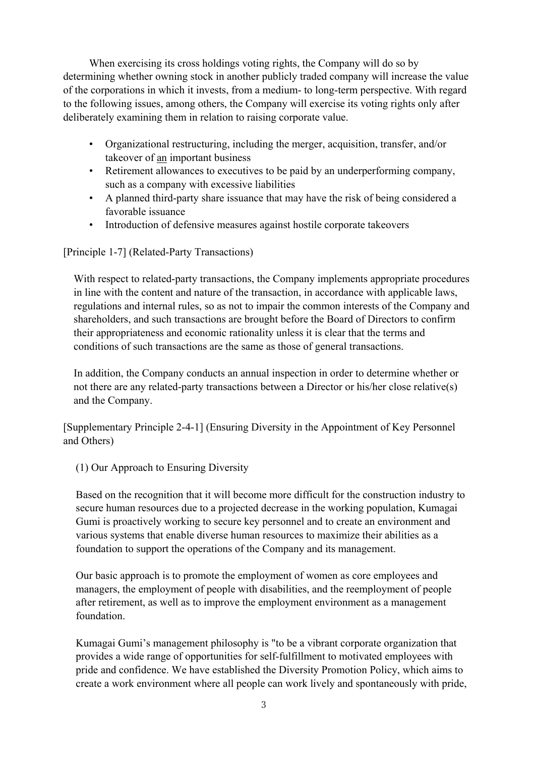When exercising its cross holdings voting rights, the Company will do so by determining whether owning stock in another publicly traded company will increase the value of the corporations in which it invests, from a medium- to long-term perspective. With regard to the following issues, among others, the Company will exercise its voting rights only after deliberately examining them in relation to raising corporate value.

- Organizational restructuring, including the merger, acquisition, transfer, and/or takeover of an important business
- Retirement allowances to executives to be paid by an underperforming company, such as a company with excessive liabilities
- A planned third-party share issuance that may have the risk of being considered a favorable issuance
- Introduction of defensive measures against hostile corporate takeovers

[Principle 1-7] (Related-Party Transactions)

With respect to related-party transactions, the Company implements appropriate procedures in line with the content and nature of the transaction, in accordance with applicable laws, regulations and internal rules, so as not to impair the common interests of the Company and shareholders, and such transactions are brought before the Board of Directors to confirm their appropriateness and economic rationality unless it is clear that the terms and conditions of such transactions are the same as those of general transactions.

In addition, the Company conducts an annual inspection in order to determine whether or not there are any related-party transactions between a Director or his/her close relative(s) and the Company.

[Supplementary Principle 2-4-1] (Ensuring Diversity in the Appointment of Key Personnel and Others)

(1) Our Approach to Ensuring Diversity

Based on the recognition that it will become more difficult for the construction industry to secure human resources due to a projected decrease in the working population, Kumagai Gumi is proactively working to secure key personnel and to create an environment and various systems that enable diverse human resources to maximize their abilities as a foundation to support the operations of the Company and its management.

Our basic approach is to promote the employment of women as core employees and managers, the employment of people with disabilities, and the reemployment of people after retirement, as well as to improve the employment environment as a management foundation.

Kumagai Gumi's management philosophy is "to be a vibrant corporate organization that provides a wide range of opportunities for self-fulfillment to motivated employees with pride and confidence. We have established the Diversity Promotion Policy, which aims to create a work environment where all people can work lively and spontaneously with pride,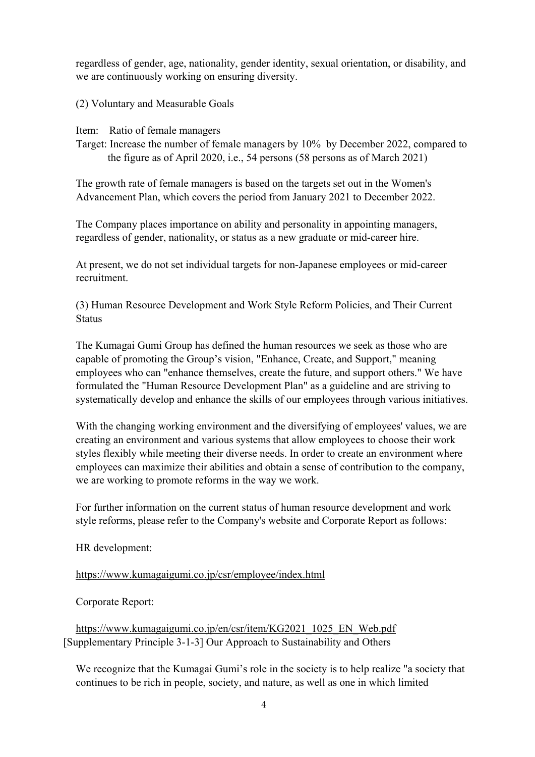regardless of gender, age, nationality, gender identity, sexual orientation, or disability, and we are continuously working on ensuring diversity.

(2) Voluntary and Measurable Goals

Item: Ratio of female managers

Target: Increase the number of female managers by 10% by December 2022, compared to the figure as of April 2020, i.e., 54 persons (58 persons as of March 2021)

The growth rate of female managers is based on the targets set out in the Women's Advancement Plan, which covers the period from January 2021 to December 2022.

The Company places importance on ability and personality in appointing managers, regardless of gender, nationality, or status as a new graduate or mid-career hire.

At present, we do not set individual targets for non-Japanese employees or mid-career recruitment.

(3) Human Resource Development and Work Style Reform Policies, and Their Current **Status** 

The Kumagai Gumi Group has defined the human resources we seek as those who are capable of promoting the Group's vision, "Enhance, Create, and Support," meaning employees who can "enhance themselves, create the future, and support others." We have formulated the "Human Resource Development Plan" as a guideline and are striving to systematically develop and enhance the skills of our employees through various initiatives.

With the changing working environment and the diversifying of employees' values, we are creating an environment and various systems that allow employees to choose their work styles flexibly while meeting their diverse needs. In order to create an environment where employees can maximize their abilities and obtain a sense of contribution to the company, we are working to promote reforms in the way we work.

For further information on the current status of human resource development and work style reforms, please refer to the Company's website and Corporate Report as follows:

HR development:

https://www.kumagaigumi.co.jp/csr/employee/index.html

Corporate Report:

https://www.kumagaigumi.co.jp/en/csr/item/KG2021\_1025\_EN\_Web.pdf [Supplementary Principle 3-1-3] Our Approach to Sustainability and Others

We recognize that the Kumagai Gumi's role in the society is to help realize "a society that continues to be rich in people, society, and nature, as well as one in which limited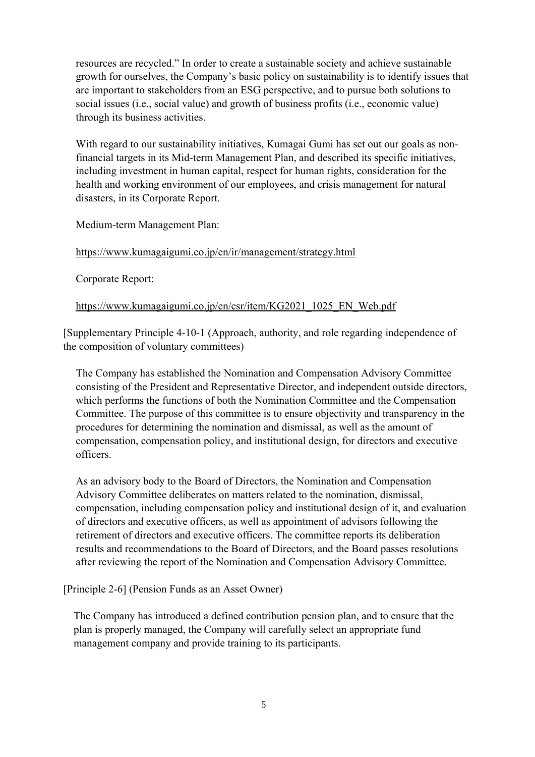resources are recycled." In order to create a sustainable society and achieve sustainable growth for ourselves, the Company's basic policy on sustainability is to identify issues that are important to stakeholders from an ESG perspective, and to pursue both solutions to social issues (i.e., social value) and growth of business profits (i.e., economic value) through its business activities.

With regard to our sustainability initiatives, Kumagai Gumi has set out our goals as nonfinancial targets in its Mid-term Management Plan, and described its specific initiatives, including investment in human capital, respect for human rights, consideration for the health and working environment of our employees, and crisis management for natural disasters, in its Corporate Report.

Medium-term Management Plan:

### https://www.kumagaigumi.co.jp/en/ir/management/strategy.html

Corporate Report:

#### https://www.kumagaigumi.co.jp/en/csr/item/KG2021\_1025\_EN\_Web.pdf

[Supplementary Principle 4-10-1 (Approach, authority, and role regarding independence of the composition of voluntary committees)

The Company has established the Nomination and Compensation Advisory Committee consisting of the President and Representative Director, and independent outside directors, which performs the functions of both the Nomination Committee and the Compensation Committee. The purpose of this committee is to ensure objectivity and transparency in the procedures for determining the nomination and dismissal, as well as the amount of compensation, compensation policy, and institutional design, for directors and executive officers.

As an advisory body to the Board of Directors, the Nomination and Compensation Advisory Committee deliberates on matters related to the nomination, dismissal, compensation, including compensation policy and institutional design of it, and evaluation of directors and executive officers, as well as appointment of advisors following the retirement of directors and executive officers. The committee reports its deliberation results and recommendations to the Board of Directors, and the Board passes resolutions after reviewing the report of the Nomination and Compensation Advisory Committee.

[Principle 2-6] (Pension Funds as an Asset Owner)

 The Company has introduced a defined contribution pension plan, and to ensure that the plan is properly managed, the Company will carefully select an appropriate fund management company and provide training to its participants.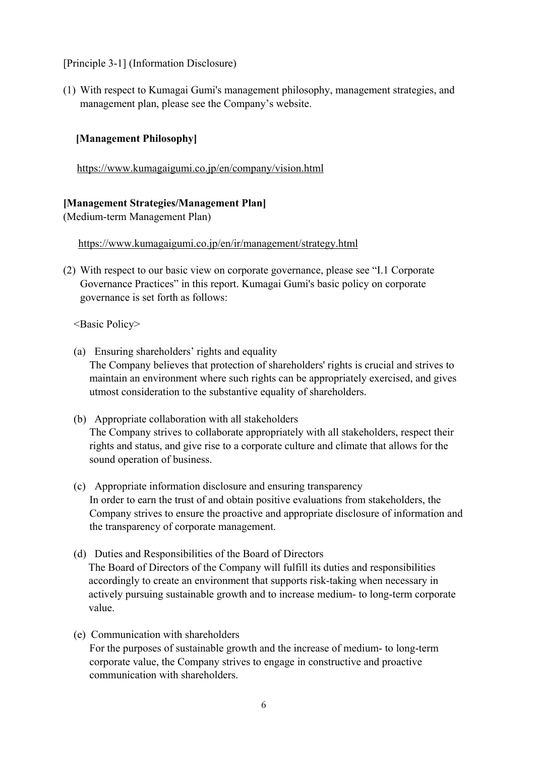[Principle 3-1] (Information Disclosure)

(1) With respect to Kumagai Gumi's management philosophy, management strategies, and management plan, please see the Company's website.

## **[Management Philosophy]**

https://www.kumagaigumi.co.jp/en/company/vision.html

### **[Management Strategies/Management Plan]**

(Medium-term Management Plan)

https://www.kumagaigumi.co.jp/en/ir/management/strategy.html

(2) With respect to our basic view on corporate governance, please see "I.1 Corporate Governance Practices" in this report. Kumagai Gumi's basic policy on corporate governance is set forth as follows:

<Basic Policy>

- (a) Ensuring shareholders' rights and equality The Company believes that protection of shareholders' rights is crucial and strives to maintain an environment where such rights can be appropriately exercised, and gives utmost consideration to the substantive equality of shareholders.
- (b) Appropriate collaboration with all stakeholders The Company strives to collaborate appropriately with all stakeholders, respect their rights and status, and give rise to a corporate culture and climate that allows for the sound operation of business.
- (c) Appropriate information disclosure and ensuring transparency In order to earn the trust of and obtain positive evaluations from stakeholders, the Company strives to ensure the proactive and appropriate disclosure of information and the transparency of corporate management.
- (d) Duties and Responsibilities of the Board of Directors The Board of Directors of the Company will fulfill its duties and responsibilities accordingly to create an environment that supports risk-taking when necessary in actively pursuing sustainable growth and to increase medium- to long-term corporate value.
- (e) Communication with shareholders For the purposes of sustainable growth and the increase of medium- to long-term corporate value, the Company strives to engage in constructive and proactive communication with shareholders.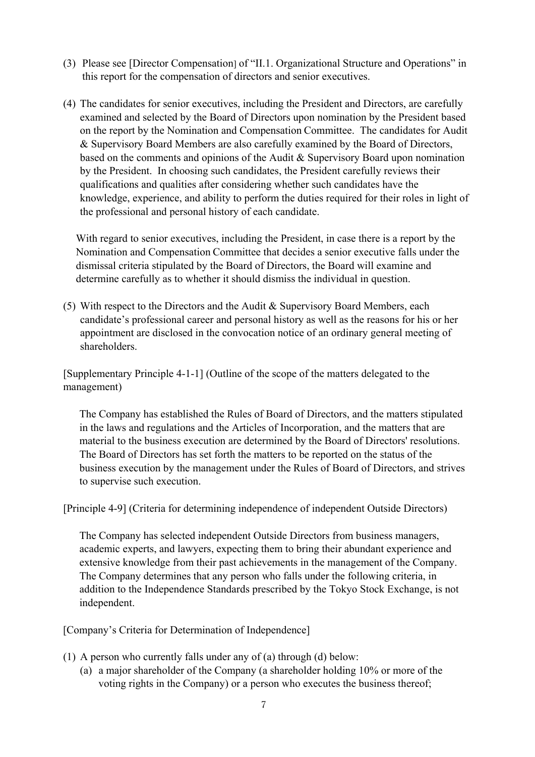- (3) Please see [Director Compensation] of "II.1. Organizational Structure and Operations" in this report for the compensation of directors and senior executives.
- (4) The candidates for senior executives, including the President and Directors, are carefully examined and selected by the Board of Directors upon nomination by the President based on the report by the Nomination and Compensation Committee. The candidates for Audit & Supervisory Board Members are also carefully examined by the Board of Directors, based on the comments and opinions of the Audit & Supervisory Board upon nomination by the President. In choosing such candidates, the President carefully reviews their qualifications and qualities after considering whether such candidates have the knowledge, experience, and ability to perform the duties required for their roles in light of the professional and personal history of each candidate.

With regard to senior executives, including the President, in case there is a report by the Nomination and Compensation Committee that decides a senior executive falls under the dismissal criteria stipulated by the Board of Directors, the Board will examine and determine carefully as to whether it should dismiss the individual in question.

(5) With respect to the Directors and the Audit & Supervisory Board Members, each candidate's professional career and personal history as well as the reasons for his or her appointment are disclosed in the convocation notice of an ordinary general meeting of shareholders.

[Supplementary Principle 4-1-1] (Outline of the scope of the matters delegated to the management)

The Company has established the Rules of Board of Directors, and the matters stipulated in the laws and regulations and the Articles of Incorporation, and the matters that are material to the business execution are determined by the Board of Directors' resolutions. The Board of Directors has set forth the matters to be reported on the status of the business execution by the management under the Rules of Board of Directors, and strives to supervise such execution.

[Principle 4-9] (Criteria for determining independence of independent Outside Directors)

The Company has selected independent Outside Directors from business managers, academic experts, and lawyers, expecting them to bring their abundant experience and extensive knowledge from their past achievements in the management of the Company. The Company determines that any person who falls under the following criteria, in addition to the Independence Standards prescribed by the Tokyo Stock Exchange, is not independent.

[Company's Criteria for Determination of Independence]

- (1) A person who currently falls under any of (a) through (d) below:
	- (a) a major shareholder of the Company (a shareholder holding 10% or more of the voting rights in the Company) or a person who executes the business thereof;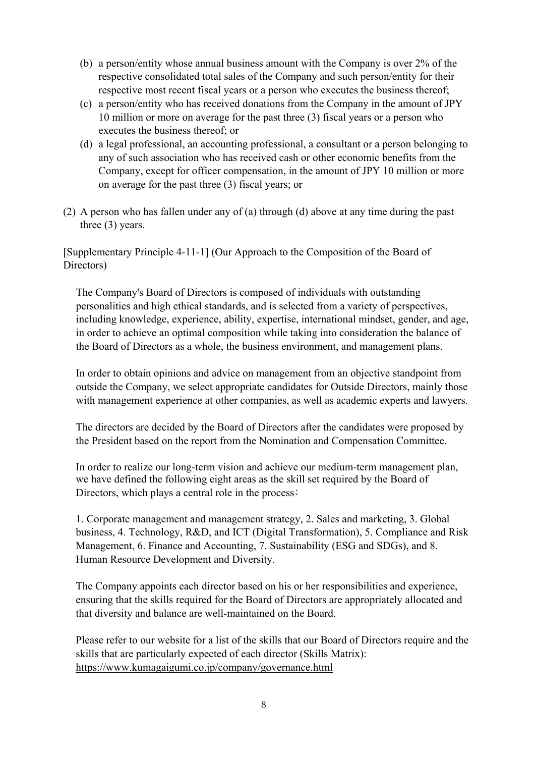- (b) a person/entity whose annual business amount with the Company is over 2% of the respective consolidated total sales of the Company and such person/entity for their respective most recent fiscal years or a person who executes the business thereof;
- (c) a person/entity who has received donations from the Company in the amount of JPY 10 million or more on average for the past three (3) fiscal years or a person who executes the business thereof; or
- (d) a legal professional, an accounting professional, a consultant or a person belonging to any of such association who has received cash or other economic benefits from the Company, except for officer compensation, in the amount of JPY 10 million or more on average for the past three (3) fiscal years; or
- (2) A person who has fallen under any of (a) through (d) above at any time during the past three (3) years.

[Supplementary Principle 4-11-1] (Our Approach to the Composition of the Board of Directors)

The Company's Board of Directors is composed of individuals with outstanding personalities and high ethical standards, and is selected from a variety of perspectives, including knowledge, experience, ability, expertise, international mindset, gender, and age, in order to achieve an optimal composition while taking into consideration the balance of the Board of Directors as a whole, the business environment, and management plans.

In order to obtain opinions and advice on management from an objective standpoint from outside the Company, we select appropriate candidates for Outside Directors, mainly those with management experience at other companies, as well as academic experts and lawyers.

The directors are decided by the Board of Directors after the candidates were proposed by the President based on the report from the Nomination and Compensation Committee.

In order to realize our long-term vision and achieve our medium-term management plan, we have defined the following eight areas as the skill set required by the Board of Directors, which plays a central role in the process:

1. Corporate management and management strategy, 2. Sales and marketing, 3. Global business, 4. Technology, R&D, and ICT (Digital Transformation), 5. Compliance and Risk Management, 6. Finance and Accounting, 7. Sustainability (ESG and SDGs), and 8. Human Resource Development and Diversity.

The Company appoints each director based on his or her responsibilities and experience, ensuring that the skills required for the Board of Directors are appropriately allocated and that diversity and balance are well-maintained on the Board.

Please refer to our website for a list of the skills that our Board of Directors require and the skills that are particularly expected of each director (Skills Matrix): https://www.kumagaigumi.co.jp/company/governance.html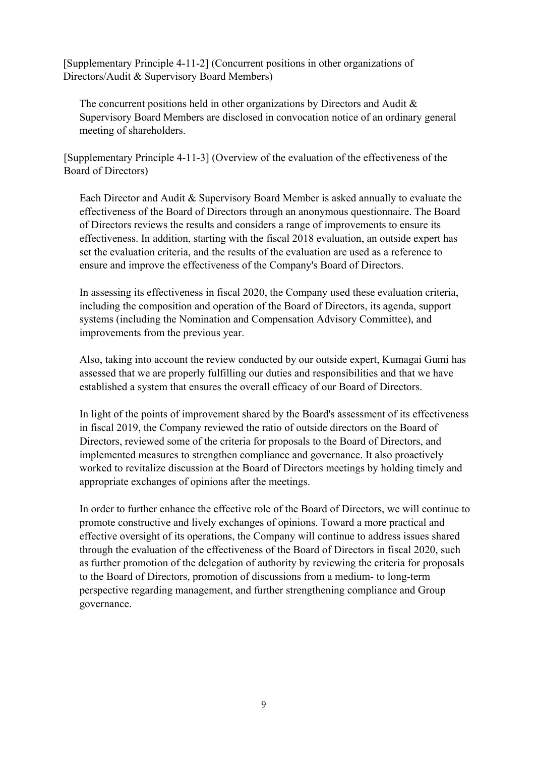[Supplementary Principle 4-11-2] (Concurrent positions in other organizations of Directors/Audit & Supervisory Board Members)

The concurrent positions held in other organizations by Directors and Audit & Supervisory Board Members are disclosed in convocation notice of an ordinary general meeting of shareholders.

[Supplementary Principle 4-11-3] (Overview of the evaluation of the effectiveness of the Board of Directors)

Each Director and Audit & Supervisory Board Member is asked annually to evaluate the effectiveness of the Board of Directors through an anonymous questionnaire. The Board of Directors reviews the results and considers a range of improvements to ensure its effectiveness. In addition, starting with the fiscal 2018 evaluation, an outside expert has set the evaluation criteria, and the results of the evaluation are used as a reference to ensure and improve the effectiveness of the Company's Board of Directors.

In assessing its effectiveness in fiscal 2020, the Company used these evaluation criteria, including the composition and operation of the Board of Directors, its agenda, support systems (including the Nomination and Compensation Advisory Committee), and improvements from the previous year.

Also, taking into account the review conducted by our outside expert, Kumagai Gumi has assessed that we are properly fulfilling our duties and responsibilities and that we have established a system that ensures the overall efficacy of our Board of Directors.

In light of the points of improvement shared by the Board's assessment of its effectiveness in fiscal 2019, the Company reviewed the ratio of outside directors on the Board of Directors, reviewed some of the criteria for proposals to the Board of Directors, and implemented measures to strengthen compliance and governance. It also proactively worked to revitalize discussion at the Board of Directors meetings by holding timely and appropriate exchanges of opinions after the meetings.

In order to further enhance the effective role of the Board of Directors, we will continue to promote constructive and lively exchanges of opinions. Toward a more practical and effective oversight of its operations, the Company will continue to address issues shared through the evaluation of the effectiveness of the Board of Directors in fiscal 2020, such as further promotion of the delegation of authority by reviewing the criteria for proposals to the Board of Directors, promotion of discussions from a medium- to long-term perspective regarding management, and further strengthening compliance and Group governance.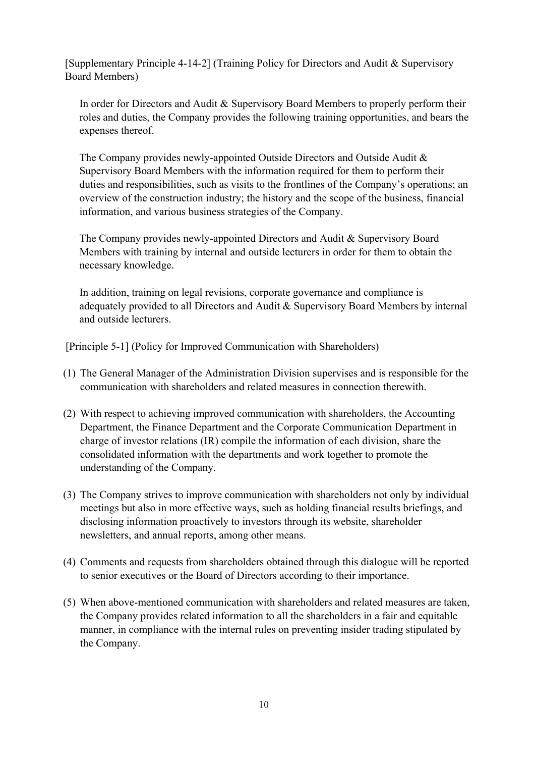[Supplementary Principle 4-14-2] (Training Policy for Directors and Audit & Supervisory Board Members)

In order for Directors and Audit & Supervisory Board Members to properly perform their roles and duties, the Company provides the following training opportunities, and bears the expenses thereof.

The Company provides newly-appointed Outside Directors and Outside Audit & Supervisory Board Members with the information required for them to perform their duties and responsibilities, such as visits to the frontlines of the Company's operations; an overview of the construction industry; the history and the scope of the business, financial information, and various business strategies of the Company.

The Company provides newly-appointed Directors and Audit & Supervisory Board Members with training by internal and outside lecturers in order for them to obtain the necessary knowledge.

In addition, training on legal revisions, corporate governance and compliance is adequately provided to all Directors and Audit & Supervisory Board Members by internal and outside lecturers.

[Principle 5-1] (Policy for Improved Communication with Shareholders)

- (1) The General Manager of the Administration Division supervises and is responsible for the communication with shareholders and related measures in connection therewith.
- (2) With respect to achieving improved communication with shareholders, the Accounting Department, the Finance Department and the Corporate Communication Department in charge of investor relations (IR) compile the information of each division, share the consolidated information with the departments and work together to promote the understanding of the Company.
- (3) The Company strives to improve communication with shareholders not only by individual meetings but also in more effective ways, such as holding financial results briefings, and disclosing information proactively to investors through its website, shareholder newsletters, and annual reports, among other means.
- (4) Comments and requests from shareholders obtained through this dialogue will be reported to senior executives or the Board of Directors according to their importance.
- (5) When above-mentioned communication with shareholders and related measures are taken, the Company provides related information to all the shareholders in a fair and equitable manner, in compliance with the internal rules on preventing insider trading stipulated by the Company.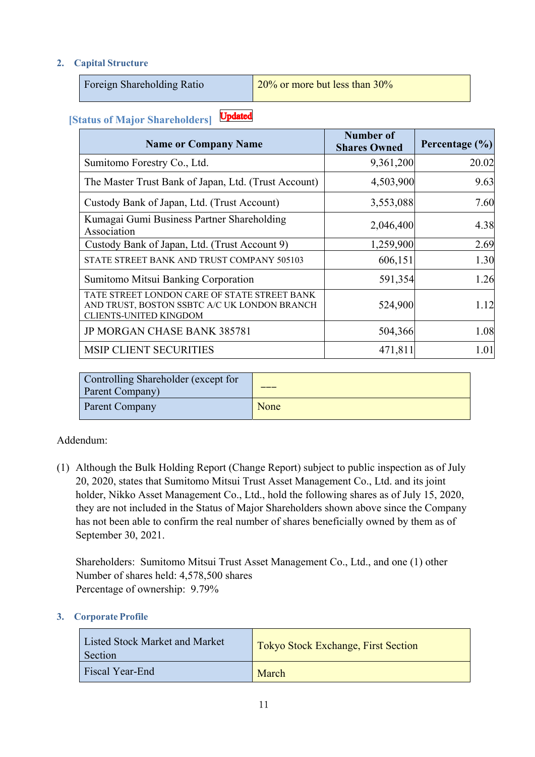## **2. Capital Structure**

Foreign Shareholding Ratio 20% or more but less than 30%

#### **Updated [Status of Major Shareholders]**

| <b>Name or Company Name</b>                                                                                                   | Number of<br><b>Shares Owned</b> | Percentage $(\% )$ |
|-------------------------------------------------------------------------------------------------------------------------------|----------------------------------|--------------------|
| Sumitomo Forestry Co., Ltd.                                                                                                   | 9,361,200                        | 20.02              |
| The Master Trust Bank of Japan, Ltd. (Trust Account)                                                                          | 4,503,900                        | 9.63               |
| Custody Bank of Japan, Ltd. (Trust Account)                                                                                   | 3,553,088                        | 7.60               |
| Kumagai Gumi Business Partner Shareholding<br>Association                                                                     | 2,046,400                        | 4.38               |
| Custody Bank of Japan, Ltd. (Trust Account 9)                                                                                 | 1,259,900                        | 2.69               |
| STATE STREET BANK AND TRUST COMPANY 505103                                                                                    | 606,151                          | 1.30               |
| Sumitomo Mitsui Banking Corporation                                                                                           | 591,354                          | 1.26               |
| TATE STREET LONDON CARE OF STATE STREET BANK<br>AND TRUST, BOSTON SSBTC A/C UK LONDON BRANCH<br><b>CLIENTS-UNITED KINGDOM</b> | 524,900                          | 1.12               |
| <b>JP MORGAN CHASE BANK 385781</b>                                                                                            | 504,366                          | 1.08               |
| <b>MSIP CLIENT SECURITIES</b>                                                                                                 | 471,811                          | 1.01               |

| Controlling Shareholder (except for<br>Parent Company) |      |
|--------------------------------------------------------|------|
| <b>Parent Company</b>                                  | None |

### Addendum:

(1) Although the Bulk Holding Report (Change Report) subject to public inspection as of July 20, 2020, states that Sumitomo Mitsui Trust Asset Management Co., Ltd. and its joint holder, Nikko Asset Management Co., Ltd., hold the following shares as of July 15, 2020, they are not included in the Status of Major Shareholders shown above since the Company has not been able to confirm the real number of shares beneficially owned by them as of September 30, 2021.

Shareholders: Sumitomo Mitsui Trust Asset Management Co., Ltd., and one (1) other Number of shares held: 4,578,500 shares Percentage of ownership: 9.79%

#### **3. Corporate Profile**

| Listed Stock Market and Market<br>Section | Tokyo Stock Exchange, First Section |
|-------------------------------------------|-------------------------------------|
| <b>Fiscal Year-End</b>                    | March                               |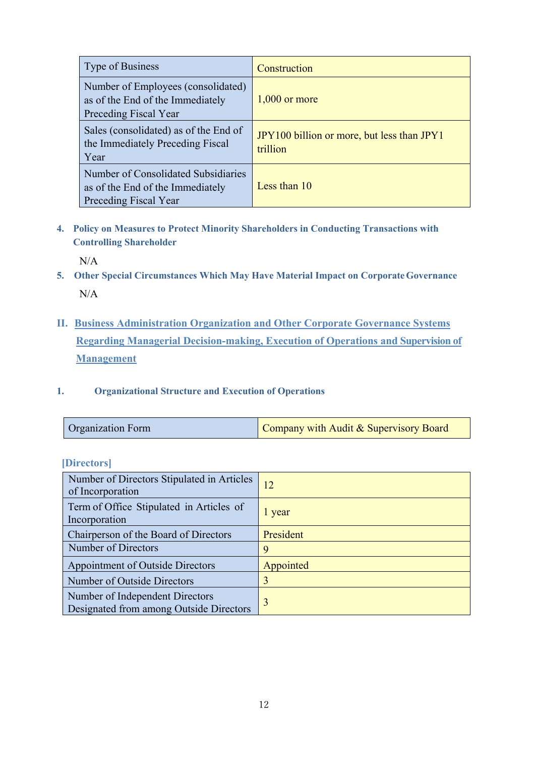| Type of Business                                                                                 | Construction                                           |
|--------------------------------------------------------------------------------------------------|--------------------------------------------------------|
| Number of Employees (consolidated)<br>as of the End of the Immediately<br>Preceding Fiscal Year  | $1,000$ or more                                        |
| Sales (consolidated) as of the End of<br>the Immediately Preceding Fiscal<br>Year                | JPY100 billion or more, but less than JPY1<br>trillion |
| Number of Consolidated Subsidiaries<br>as of the End of the Immediately<br>Preceding Fiscal Year | Less than $10$                                         |

**4. Policy on Measures to Protect Minority Shareholders in Conducting Transactions with Controlling Shareholder** 

N/A

- **5. Other Special Circumstances Which May Have Material Impact on Corporate Governance**  N/A
- **II. Business Administration Organization and Other Corporate Governance Systems Regarding Managerial Decision-making, Execution of Operations and Supervision of Management**

#### **1. Organizational Structure and Execution of Operations**

| Company with Audit & Supervisory Board<br><b>Organization Form</b> |  |  |
|--------------------------------------------------------------------|--|--|
|--------------------------------------------------------------------|--|--|

| <i><b>IDirectors</b></i> |  |
|--------------------------|--|
|                          |  |

| Number of Directors Stipulated in Articles<br>of Incorporation             | 12        |
|----------------------------------------------------------------------------|-----------|
| Term of Office Stipulated in Articles of<br>Incorporation                  | l year    |
| Chairperson of the Board of Directors                                      | President |
| Number of Directors                                                        | 9         |
| Appointment of Outside Directors                                           | Appointed |
| Number of Outside Directors                                                | 3         |
| Number of Independent Directors<br>Designated from among Outside Directors | 3         |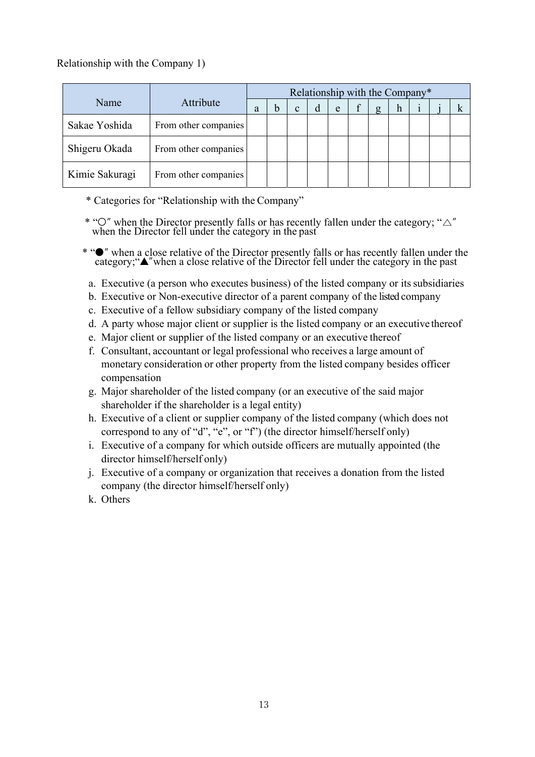## Relationship with the Company 1)

|                |                      | Relationship with the Company* |  |              |  |   |  |   |   |  |  |
|----------------|----------------------|--------------------------------|--|--------------|--|---|--|---|---|--|--|
| Name           | Attribute            | a                              |  | $\mathbf{c}$ |  | e |  | g | h |  |  |
| Sakae Yoshida  | From other companies |                                |  |              |  |   |  |   |   |  |  |
| Shigeru Okada  | From other companies |                                |  |              |  |   |  |   |   |  |  |
| Kimie Sakuragi | From other companies |                                |  |              |  |   |  |   |   |  |  |

- \* Categories for "Relationship with the Company"
- \* " $\circ$ " when the Director presently falls or has recently fallen under the category; " $\triangle$ " when the Director fell under the category in the past
- \* "●" when a close relative of the Director presently falls or has recently fallen under the category;"▲"when a close relative of the Director fell under the category in the past
	- a. Executive (a person who executes business) of the listed company or its subsidiaries
	- b. Executive or Non-executive director of a parent company of the listed company
	- c. Executive of a fellow subsidiary company of the listed company
	- d. A party whose major client or supplier is the listed company or an executive thereof
	- e. Major client or supplier of the listed company or an executive thereof
	- f. Consultant, accountant or legal professional who receives a large amount of monetary consideration or other property from the listed company besides officer compensation
	- g. Major shareholder of the listed company (or an executive of the said major shareholder if the shareholder is a legal entity)
	- h. Executive of a client or supplier company of the listed company (which does not correspond to any of "d", "e", or "f") (the director himself/herself only)
	- i. Executive of a company for which outside officers are mutually appointed (the director himself/herself only)
	- j. Executive of a company or organization that receives a donation from the listed company (the director himself/herself only)
	- k. Others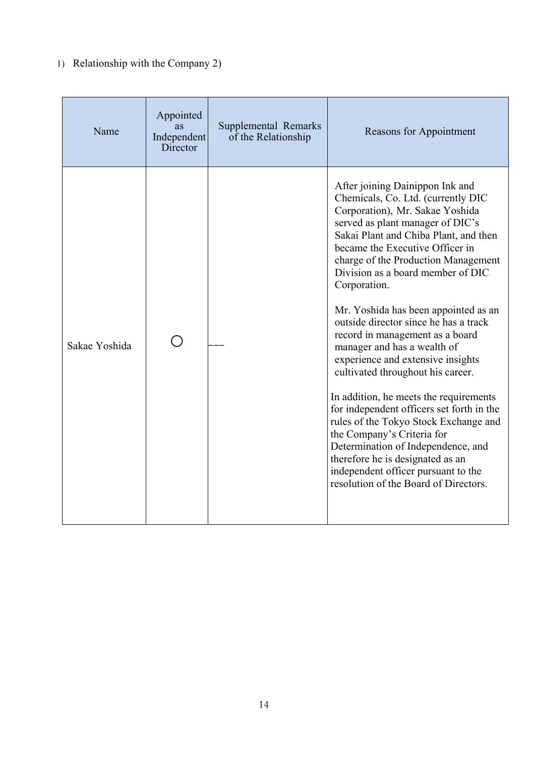# 1) Relationship with the Company 2)

| Name          | Appointed<br>as<br>Independent<br>Director | Supplemental Remarks<br>of the Relationship | <b>Reasons for Appointment</b>                                                                                                                                                                                                                                                                                                                                                                                                                                                                                                                                                                                                                                                                                                                                                                                                                                            |
|---------------|--------------------------------------------|---------------------------------------------|---------------------------------------------------------------------------------------------------------------------------------------------------------------------------------------------------------------------------------------------------------------------------------------------------------------------------------------------------------------------------------------------------------------------------------------------------------------------------------------------------------------------------------------------------------------------------------------------------------------------------------------------------------------------------------------------------------------------------------------------------------------------------------------------------------------------------------------------------------------------------|
| Sakae Yoshida |                                            |                                             | After joining Dainippon Ink and<br>Chemicals, Co. Ltd. (currently DIC<br>Corporation), Mr. Sakae Yoshida<br>served as plant manager of DIC's<br>Sakai Plant and Chiba Plant, and then<br>became the Executive Officer in<br>charge of the Production Management<br>Division as a board member of DIC<br>Corporation.<br>Mr. Yoshida has been appointed as an<br>outside director since he has a track<br>record in management as a board<br>manager and has a wealth of<br>experience and extensive insights<br>cultivated throughout his career.<br>In addition, he meets the requirements<br>for independent officers set forth in the<br>rules of the Tokyo Stock Exchange and<br>the Company's Criteria for<br>Determination of Independence, and<br>therefore he is designated as an<br>independent officer pursuant to the<br>resolution of the Board of Directors. |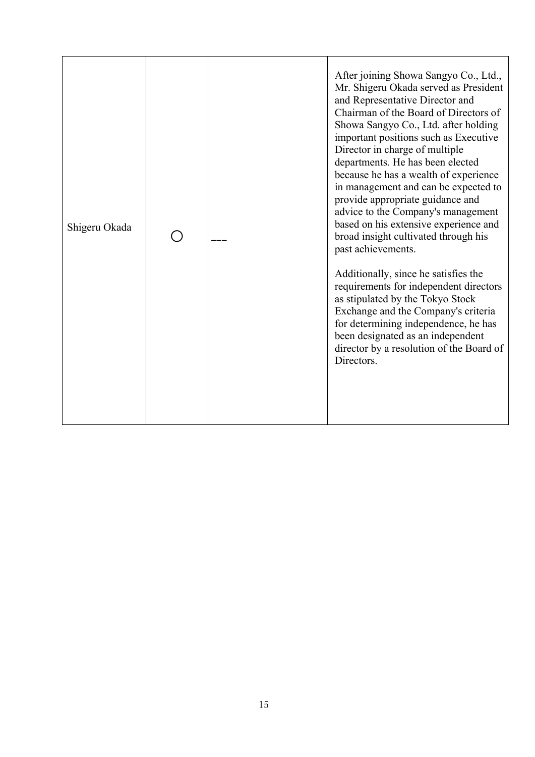| Shigeru Okada |  | After joining Showa Sangyo Co., Ltd.,<br>Mr. Shigeru Okada served as President<br>and Representative Director and<br>Chairman of the Board of Directors of<br>Showa Sangyo Co., Ltd. after holding<br>important positions such as Executive<br>Director in charge of multiple<br>departments. He has been elected<br>because he has a wealth of experience<br>in management and can be expected to<br>provide appropriate guidance and<br>advice to the Company's management<br>based on his extensive experience and<br>broad insight cultivated through his<br>past achievements. |
|---------------|--|-------------------------------------------------------------------------------------------------------------------------------------------------------------------------------------------------------------------------------------------------------------------------------------------------------------------------------------------------------------------------------------------------------------------------------------------------------------------------------------------------------------------------------------------------------------------------------------|
|               |  | Additionally, since he satisfies the<br>requirements for independent directors<br>as stipulated by the Tokyo Stock<br>Exchange and the Company's criteria<br>for determining independence, he has<br>been designated as an independent<br>director by a resolution of the Board of<br>Directors.                                                                                                                                                                                                                                                                                    |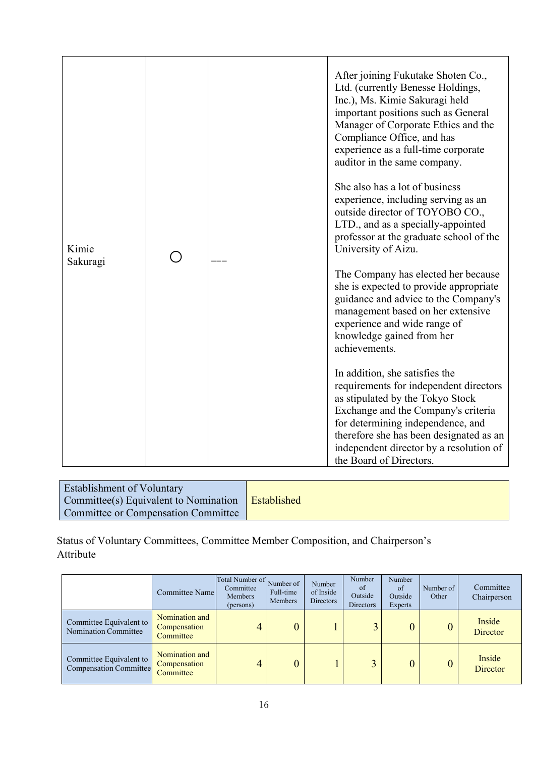|                   |  | After joining Fukutake Shoten Co.,<br>Ltd. (currently Benesse Holdings,<br>Inc.), Ms. Kimie Sakuragi held<br>important positions such as General<br>Manager of Corporate Ethics and the<br>Compliance Office, and has<br>experience as a full-time corporate<br>auditor in the same company.              |
|-------------------|--|-----------------------------------------------------------------------------------------------------------------------------------------------------------------------------------------------------------------------------------------------------------------------------------------------------------|
| Kimie<br>Sakuragi |  | She also has a lot of business<br>experience, including serving as an<br>outside director of TOYOBO CO.,<br>LTD., and as a specially-appointed<br>professor at the graduate school of the<br>University of Aizu.                                                                                          |
|                   |  | The Company has elected her because<br>she is expected to provide appropriate<br>guidance and advice to the Company's<br>management based on her extensive<br>experience and wide range of<br>knowledge gained from her<br>achievements.                                                                  |
|                   |  | In addition, she satisfies the<br>requirements for independent directors<br>as stipulated by the Tokyo Stock<br>Exchange and the Company's criteria<br>for determining independence, and<br>therefore she has been designated as an<br>independent director by a resolution of<br>the Board of Directors. |

| <b>Establishment of Voluntary</b>                   |  |
|-----------------------------------------------------|--|
| Committee(s) Equivalent to Nomination   Established |  |
| Committee or Compensation Committee                 |  |

Status of Voluntary Committees, Committee Member Composition, and Chairperson's Attribute

|                                                   | Committee Name                              | Total Number of Number of<br>Committee<br>Members<br>(persons) | Full-time<br>Members | Number<br>of Inside<br><b>Directors</b> | Number<br>of<br>Outside<br><b>Directors</b> | Number<br>of<br>Outside<br>Experts | Number of<br>Other | Committee<br>Chairperson  |
|---------------------------------------------------|---------------------------------------------|----------------------------------------------------------------|----------------------|-----------------------------------------|---------------------------------------------|------------------------------------|--------------------|---------------------------|
| Committee Equivalent to<br>Nomination Committee   | Nomination and<br>Compensation<br>Committee | 4                                                              | 0                    |                                         |                                             |                                    |                    | Inside<br><b>Director</b> |
| Committee Equivalent to<br>Compensation Committee | Nomination and<br>Compensation<br>Committee |                                                                | $\overline{0}$       |                                         |                                             |                                    | $\theta$           | Inside<br>Director        |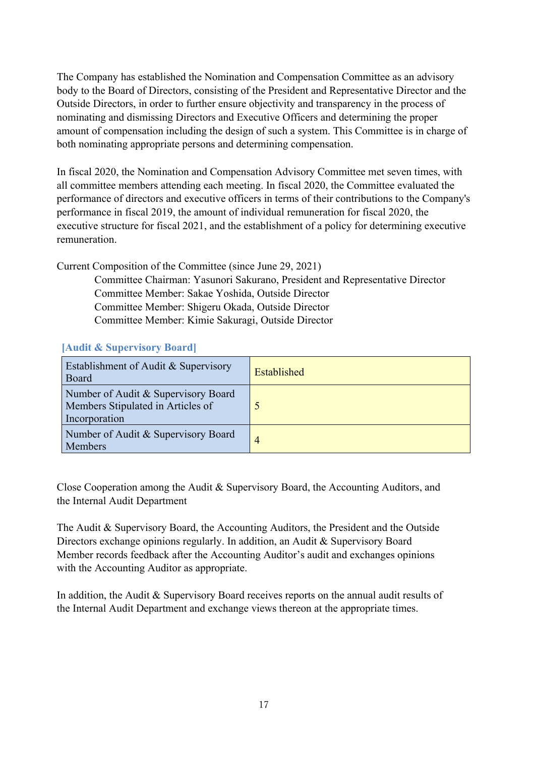The Company has established the Nomination and Compensation Committee as an advisory body to the Board of Directors, consisting of the President and Representative Director and the Outside Directors, in order to further ensure objectivity and transparency in the process of nominating and dismissing Directors and Executive Officers and determining the proper amount of compensation including the design of such a system. This Committee is in charge of both nominating appropriate persons and determining compensation.

In fiscal 2020, the Nomination and Compensation Advisory Committee met seven times, with all committee members attending each meeting. In fiscal 2020, the Committee evaluated the performance of directors and executive officers in terms of their contributions to the Company's performance in fiscal 2019, the amount of individual remuneration for fiscal 2020, the executive structure for fiscal 2021, and the establishment of a policy for determining executive remuneration.

Current Composition of the Committee (since June 29, 2021)

Committee Chairman: Yasunori Sakurano, President and Representative Director Committee Member: Sakae Yoshida, Outside Director Committee Member: Shigeru Okada, Outside Director Committee Member: Kimie Sakuragi, Outside Director

# **[Audit & Supervisory Board]**

| Establishment of Audit & Supervisory<br>Board                                             | Established |
|-------------------------------------------------------------------------------------------|-------------|
| Number of Audit & Supervisory Board<br>Members Stipulated in Articles of<br>Incorporation |             |
| Number of Audit & Supervisory Board<br><b>Members</b>                                     | 4           |

Close Cooperation among the Audit & Supervisory Board, the Accounting Auditors, and the Internal Audit Department

The Audit & Supervisory Board, the Accounting Auditors, the President and the Outside Directors exchange opinions regularly. In addition, an Audit & Supervisory Board Member records feedback after the Accounting Auditor's audit and exchanges opinions with the Accounting Auditor as appropriate.

In addition, the Audit & Supervisory Board receives reports on the annual audit results of the Internal Audit Department and exchange views thereon at the appropriate times.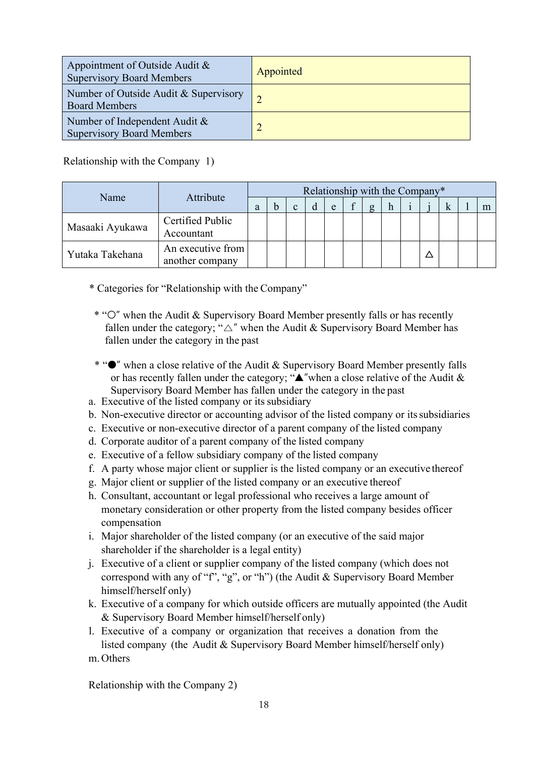| Appointment of Outside Audit &<br><b>Supervisory Board Members</b> | Appointed |
|--------------------------------------------------------------------|-----------|
| Number of Outside Audit & Supervisory<br><b>Board Members</b>      | $\bigcap$ |
| Number of Independent Audit &<br><b>Supervisory Board Members</b>  |           |

### Relationship with the Company 1)

| Attribute<br>Name | Relationship with the Company*       |   |  |              |  |   |  |   |             |  |  |   |  |
|-------------------|--------------------------------------|---|--|--------------|--|---|--|---|-------------|--|--|---|--|
|                   |                                      | a |  | $\mathbf{c}$ |  | e |  | σ | $\mathbf n$ |  |  | K |  |
| Masaaki Ayukawa   | Certified Public<br>Accountant       |   |  |              |  |   |  |   |             |  |  |   |  |
| Yutaka Takehana   | An executive from<br>another company |   |  |              |  |   |  |   |             |  |  |   |  |

- \* Categories for "Relationship with the Company"
- \* "○" when the Audit & Supervisory Board Member presently falls or has recently fallen under the category; " $\triangle$ " when the Audit & Supervisory Board Member has fallen under the category in the past
- \* "●" when a close relative of the Audit & Supervisory Board Member presently falls or has recently fallen under the category; " $\triangle$ "when a close relative of the Audit & Supervisory Board Member has fallen under the category in the past
- a. Executive of the listed company or its subsidiary
- b. Non-executive director or accounting advisor of the listed company or its subsidiaries
- c. Executive or non-executive director of a parent company of the listed company
- d. Corporate auditor of a parent company of the listed company
- e. Executive of a fellow subsidiary company of the listed company
- f. A party whose major client or supplier is the listed company or an executive thereof
- g. Major client or supplier of the listed company or an executive thereof
- h. Consultant, accountant or legal professional who receives a large amount of monetary consideration or other property from the listed company besides officer compensation
- i. Major shareholder of the listed company (or an executive of the said major shareholder if the shareholder is a legal entity)
- j. Executive of a client or supplier company of the listed company (which does not correspond with any of "f", "g", or "h") (the Audit & Supervisory Board Member himself/herself only)
- k. Executive of a company for which outside officers are mutually appointed (the Audit & Supervisory Board Member himself/herself only)
- l. Executive of a company or organization that receives a donation from the listed company (the Audit & Supervisory Board Member himself/herself only) m. Others

Relationship with the Company 2)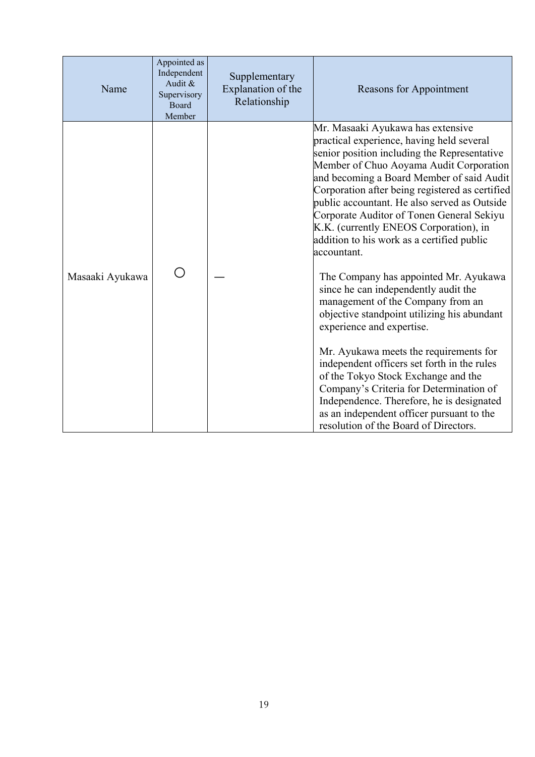| Name            | Appointed as<br>Independent<br>Audit &<br>Supervisory<br>Board<br>Member | Supplementary<br>Explanation of the<br>Relationship | Reasons for Appointment                                                                                                                                                                                                                                                                                                                                                                                                                                                                                                                                                                                                                                                                                                                                                                                                                                                                                                                                                                       |
|-----------------|--------------------------------------------------------------------------|-----------------------------------------------------|-----------------------------------------------------------------------------------------------------------------------------------------------------------------------------------------------------------------------------------------------------------------------------------------------------------------------------------------------------------------------------------------------------------------------------------------------------------------------------------------------------------------------------------------------------------------------------------------------------------------------------------------------------------------------------------------------------------------------------------------------------------------------------------------------------------------------------------------------------------------------------------------------------------------------------------------------------------------------------------------------|
| Masaaki Ayukawa |                                                                          |                                                     | Mr. Masaaki Ayukawa has extensive<br>practical experience, having held several<br>senior position including the Representative<br>Member of Chuo Aoyama Audit Corporation<br>and becoming a Board Member of said Audit<br>Corporation after being registered as certified<br>public accountant. He also served as Outside<br>Corporate Auditor of Tonen General Sekiyu<br>K.K. (currently ENEOS Corporation), in<br>addition to his work as a certified public<br>accountant.<br>The Company has appointed Mr. Ayukawa<br>since he can independently audit the<br>management of the Company from an<br>objective standpoint utilizing his abundant<br>experience and expertise.<br>Mr. Ayukawa meets the requirements for<br>independent officers set forth in the rules<br>of the Tokyo Stock Exchange and the<br>Company's Criteria for Determination of<br>Independence. Therefore, he is designated<br>as an independent officer pursuant to the<br>resolution of the Board of Directors. |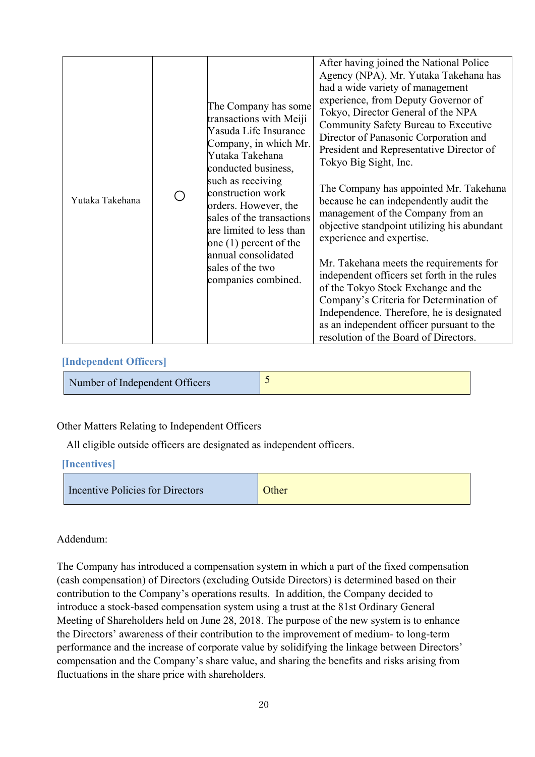## **[Independent Officers]**

Number of Independent Officers  $\frac{5}{5}$ 

Other Matters Relating to Independent Officers

All eligible outside officers are designated as independent officers.

### **[Incentives]**

| Incentive Policies for Directors | Other |
|----------------------------------|-------|
|                                  |       |

### Addendum:

The Company has introduced a compensation system in which a part of the fixed compensation (cash compensation) of Directors (excluding Outside Directors) is determined based on their contribution to the Company's operations results. In addition, the Company decided to introduce a stock-based compensation system using a trust at the 81st Ordinary General Meeting of Shareholders held on June 28, 2018. The purpose of the new system is to enhance the Directors' awareness of their contribution to the improvement of medium- to long-term performance and the increase of corporate value by solidifying the linkage between Directors' compensation and the Company's share value, and sharing the benefits and risks arising from fluctuations in the share price with shareholders.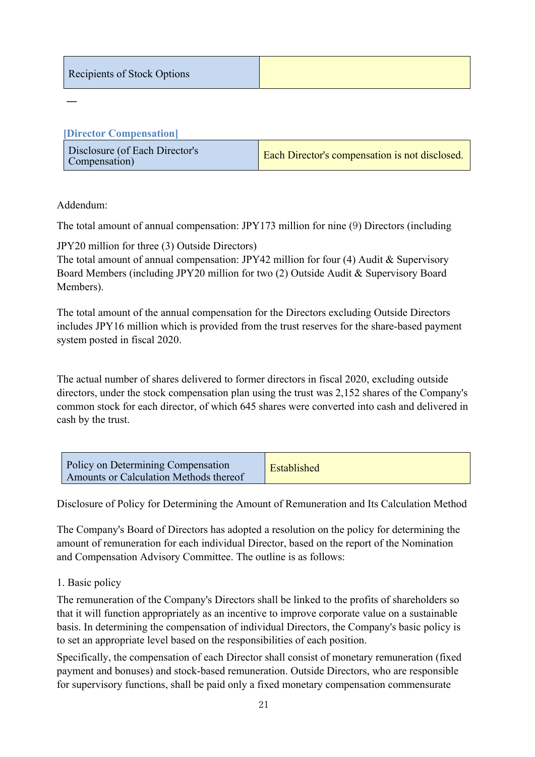| Recipients of Stock Options |  |
|-----------------------------|--|
|-----------------------------|--|

| [Director Compensation]                         |                                                       |
|-------------------------------------------------|-------------------------------------------------------|
| Disclosure (of Each Director's<br>Compensation) | <b>Each Director's compensation is not disclosed.</b> |

Addendum:

―

The total amount of annual compensation: JPY173 million for nine (9) Directors (including

JPY20 million for three (3) Outside Directors)

The total amount of annual compensation: JPY42 million for four (4) Audit & Supervisory Board Members (including JPY20 million for two (2) Outside Audit & Supervisory Board Members).

The total amount of the annual compensation for the Directors excluding Outside Directors includes JPY16 million which is provided from the trust reserves for the share-based payment system posted in fiscal 2020.

The actual number of shares delivered to former directors in fiscal 2020, excluding outside directors, under the stock compensation plan using the trust was 2,152 shares of the Company's common stock for each director, of which 645 shares were converted into cash and delivered in cash by the trust.

| Policy on Determining Compensation<br>Amounts or Calculation Methods thereof | Established |
|------------------------------------------------------------------------------|-------------|
|------------------------------------------------------------------------------|-------------|

Disclosure of Policy for Determining the Amount of Remuneration and Its Calculation Method

The Company's Board of Directors has adopted a resolution on the policy for determining the amount of remuneration for each individual Director, based on the report of the Nomination and Compensation Advisory Committee. The outline is as follows:

### 1. Basic policy

The remuneration of the Company's Directors shall be linked to the profits of shareholders so that it will function appropriately as an incentive to improve corporate value on a sustainable basis. In determining the compensation of individual Directors, the Company's basic policy is to set an appropriate level based on the responsibilities of each position.

Specifically, the compensation of each Director shall consist of monetary remuneration (fixed payment and bonuses) and stock-based remuneration. Outside Directors, who are responsible for supervisory functions, shall be paid only a fixed monetary compensation commensurate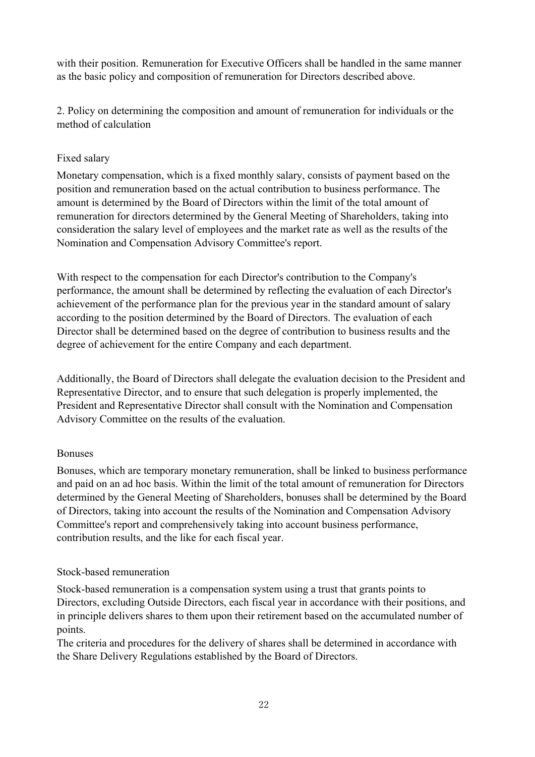with their position. Remuneration for Executive Officers shall be handled in the same manner as the basic policy and composition of remuneration for Directors described above.

2. Policy on determining the composition and amount of remuneration for individuals or the method of calculation

## Fixed salary

Monetary compensation, which is a fixed monthly salary, consists of payment based on the position and remuneration based on the actual contribution to business performance. The amount is determined by the Board of Directors within the limit of the total amount of remuneration for directors determined by the General Meeting of Shareholders, taking into consideration the salary level of employees and the market rate as well as the results of the Nomination and Compensation Advisory Committee's report.

With respect to the compensation for each Director's contribution to the Company's performance, the amount shall be determined by reflecting the evaluation of each Director's achievement of the performance plan for the previous year in the standard amount of salary according to the position determined by the Board of Directors. The evaluation of each Director shall be determined based on the degree of contribution to business results and the degree of achievement for the entire Company and each department.

Additionally, the Board of Directors shall delegate the evaluation decision to the President and Representative Director, and to ensure that such delegation is properly implemented, the President and Representative Director shall consult with the Nomination and Compensation Advisory Committee on the results of the evaluation.

### Bonuses

Bonuses, which are temporary monetary remuneration, shall be linked to business performance and paid on an ad hoc basis. Within the limit of the total amount of remuneration for Directors determined by the General Meeting of Shareholders, bonuses shall be determined by the Board of Directors, taking into account the results of the Nomination and Compensation Advisory Committee's report and comprehensively taking into account business performance, contribution results, and the like for each fiscal year.

### Stock-based remuneration

Stock-based remuneration is a compensation system using a trust that grants points to Directors, excluding Outside Directors, each fiscal year in accordance with their positions, and in principle delivers shares to them upon their retirement based on the accumulated number of points.

The criteria and procedures for the delivery of shares shall be determined in accordance with the Share Delivery Regulations established by the Board of Directors.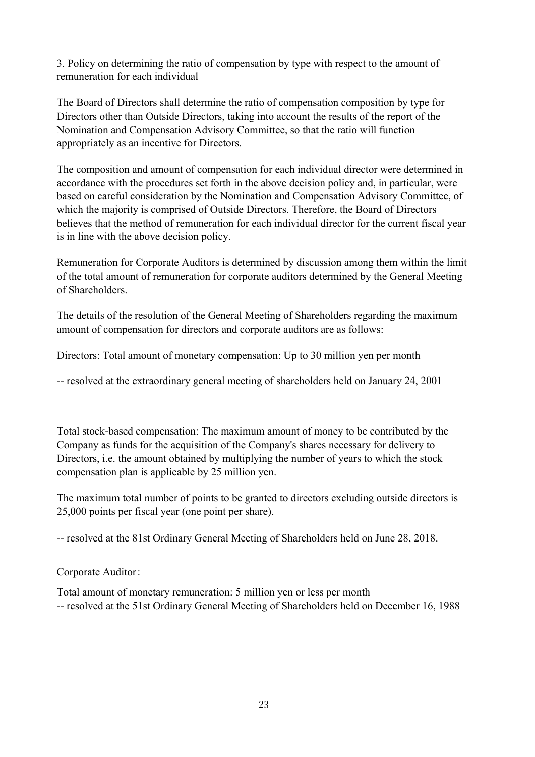3. Policy on determining the ratio of compensation by type with respect to the amount of remuneration for each individual

The Board of Directors shall determine the ratio of compensation composition by type for Directors other than Outside Directors, taking into account the results of the report of the Nomination and Compensation Advisory Committee, so that the ratio will function appropriately as an incentive for Directors.

The composition and amount of compensation for each individual director were determined in accordance with the procedures set forth in the above decision policy and, in particular, were based on careful consideration by the Nomination and Compensation Advisory Committee, of which the majority is comprised of Outside Directors. Therefore, the Board of Directors believes that the method of remuneration for each individual director for the current fiscal year is in line with the above decision policy.

Remuneration for Corporate Auditors is determined by discussion among them within the limit of the total amount of remuneration for corporate auditors determined by the General Meeting of Shareholders.

The details of the resolution of the General Meeting of Shareholders regarding the maximum amount of compensation for directors and corporate auditors are as follows:

Directors: Total amount of monetary compensation: Up to 30 million yen per month

-- resolved at the extraordinary general meeting of shareholders held on January 24, 2001

Total stock-based compensation: The maximum amount of money to be contributed by the Company as funds for the acquisition of the Company's shares necessary for delivery to Directors, i.e. the amount obtained by multiplying the number of years to which the stock compensation plan is applicable by 25 million yen.

The maximum total number of points to be granted to directors excluding outside directors is 25,000 points per fiscal year (one point per share).

-- resolved at the 81st Ordinary General Meeting of Shareholders held on June 28, 2018.

Corporate Auditor:

Total amount of monetary remuneration: 5 million yen or less per month -- resolved at the 51st Ordinary General Meeting of Shareholders held on December 16, 1988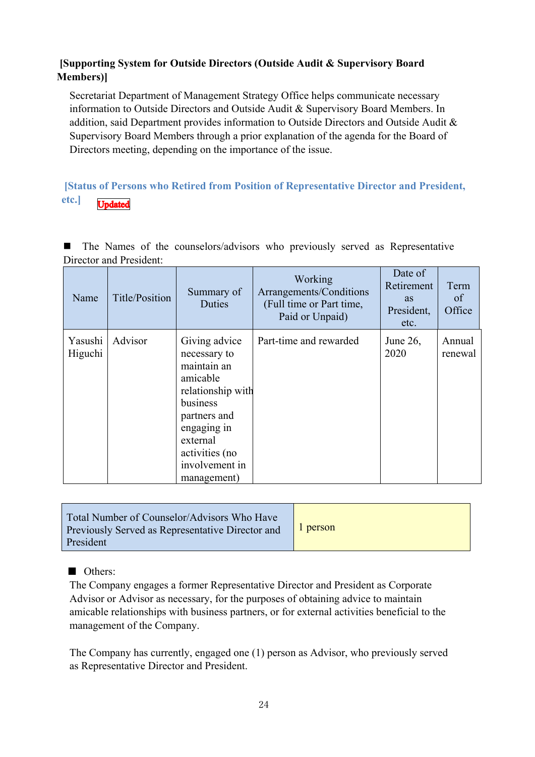# **[Supporting System for Outside Directors (Outside Audit & Supervisory Board Members)]**

Secretariat Department of Management Strategy Office helps communicate necessary information to Outside Directors and Outside Audit & Supervisory Board Members. In addition, said Department provides information to Outside Directors and Outside Audit & Supervisory Board Members through a prior explanation of the agenda for the Board of Directors meeting, depending on the importance of the issue.

#### **[Status of Persons who Retired from Position of Representative Director and President, etc.] U**ndated

 The Names of the counselors/advisors who previously served as Representative Director and President:

| Name               | Title/Position | Summary of<br>Duties                                                                                                                                                                    | Working<br>Arrangements/Conditions<br>(Full time or Part time,<br>Paid or Unpaid) | Date of<br>Retirement<br><b>as</b><br>President,<br>etc. | Term<br>of<br>Office |
|--------------------|----------------|-----------------------------------------------------------------------------------------------------------------------------------------------------------------------------------------|-----------------------------------------------------------------------------------|----------------------------------------------------------|----------------------|
| Yasushi<br>Higuchi | Advisor        | Giving advice<br>necessary to<br>maintain an<br>amicable<br>relationship with<br>business<br>partners and<br>engaging in<br>external<br>activities (no<br>involvement in<br>management) | Part-time and rewarded                                                            | June $26$ ,<br>2020                                      | Annual<br>renewal    |

■ Others:

The Company engages a former Representative Director and President as Corporate Advisor or Advisor as necessary, for the purposes of obtaining advice to maintain amicable relationships with business partners, or for external activities beneficial to the management of the Company.

The Company has currently, engaged one (1) person as Advisor, who previously served as Representative Director and President.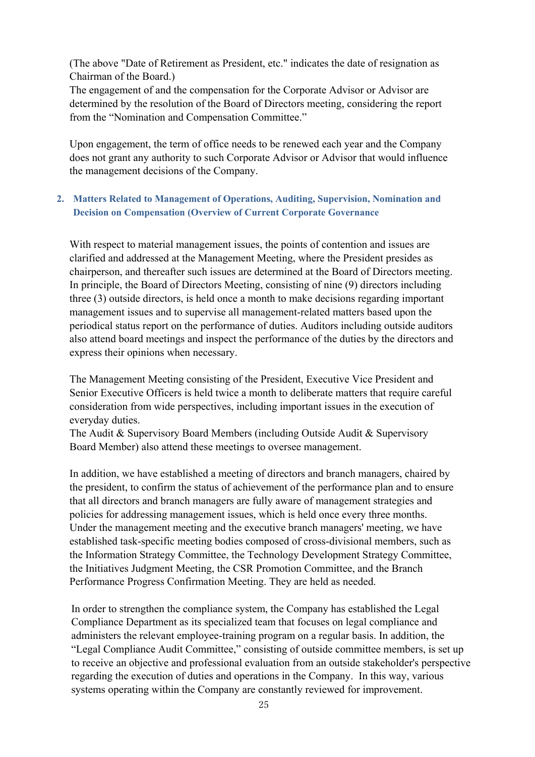(The above "Date of Retirement as President, etc." indicates the date of resignation as Chairman of the Board.)

The engagement of and the compensation for the Corporate Advisor or Advisor are determined by the resolution of the Board of Directors meeting, considering the report from the "Nomination and Compensation Committee."

Upon engagement, the term of office needs to be renewed each year and the Company does not grant any authority to such Corporate Advisor or Advisor that would influence the management decisions of the Company.

### **2. Matters Related to Management of Operations, Auditing, Supervision, Nomination and Decision on Compensation (Overview of Current Corporate Governance**

With respect to material management issues, the points of contention and issues are clarified and addressed at the Management Meeting, where the President presides as chairperson, and thereafter such issues are determined at the Board of Directors meeting. In principle, the Board of Directors Meeting, consisting of nine (9) directors including three (3) outside directors, is held once a month to make decisions regarding important management issues and to supervise all management-related matters based upon the periodical status report on the performance of duties. Auditors including outside auditors also attend board meetings and inspect the performance of the duties by the directors and express their opinions when necessary.

The Management Meeting consisting of the President, Executive Vice President and Senior Executive Officers is held twice a month to deliberate matters that require careful consideration from wide perspectives, including important issues in the execution of everyday duties.

The Audit & Supervisory Board Members (including Outside Audit & Supervisory Board Member) also attend these meetings to oversee management.

In addition, we have established a meeting of directors and branch managers, chaired by the president, to confirm the status of achievement of the performance plan and to ensure that all directors and branch managers are fully aware of management strategies and policies for addressing management issues, which is held once every three months. Under the management meeting and the executive branch managers' meeting, we have established task-specific meeting bodies composed of cross-divisional members, such as the Information Strategy Committee, the Technology Development Strategy Committee, the Initiatives Judgment Meeting, the CSR Promotion Committee, and the Branch Performance Progress Confirmation Meeting. They are held as needed.

In order to strengthen the compliance system, the Company has established the Legal Compliance Department as its specialized team that focuses on legal compliance and administers the relevant employee-training program on a regular basis. In addition, the "Legal Compliance Audit Committee," consisting of outside committee members, is set up to receive an objective and professional evaluation from an outside stakeholder's perspective regarding the execution of duties and operations in the Company. In this way, various systems operating within the Company are constantly reviewed for improvement.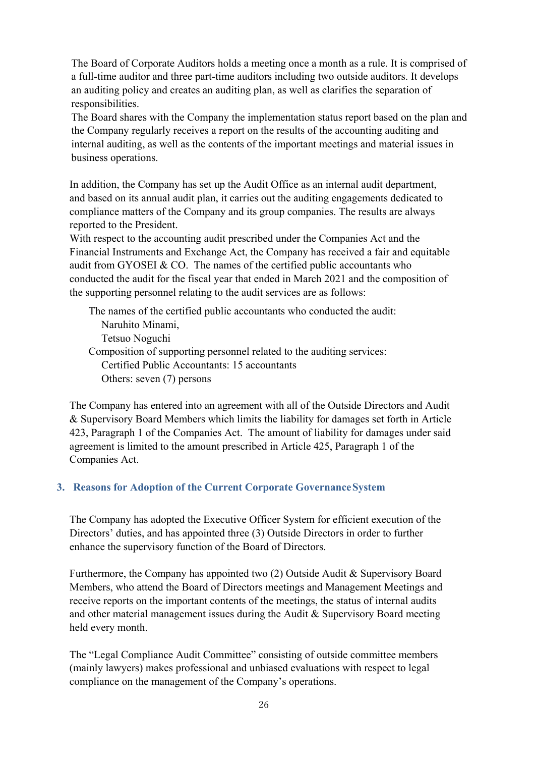The Board of Corporate Auditors holds a meeting once a month as a rule. It is comprised of a full-time auditor and three part-time auditors including two outside auditors. It develops an auditing policy and creates an auditing plan, as well as clarifies the separation of responsibilities.

The Board shares with the Company the implementation status report based on the plan and the Company regularly receives a report on the results of the accounting auditing and internal auditing, as well as the contents of the important meetings and material issues in business operations.

In addition, the Company has set up the Audit Office as an internal audit department, and based on its annual audit plan, it carries out the auditing engagements dedicated to compliance matters of the Company and its group companies. The results are always reported to the President.

With respect to the accounting audit prescribed under the Companies Act and the Financial Instruments and Exchange Act, the Company has received a fair and equitable audit from GYOSEI & CO. The names of the certified public accountants who conducted the audit for the fiscal year that ended in March 2021 and the composition of the supporting personnel relating to the audit services are as follows:

The names of the certified public accountants who conducted the audit: Naruhito Minami, Tetsuo Noguchi Composition of supporting personnel related to the auditing services: Certified Public Accountants: 15 accountants Others: seven (7) persons

The Company has entered into an agreement with all of the Outside Directors and Audit & Supervisory Board Members which limits the liability for damages set forth in Article 423, Paragraph 1 of the Companies Act. The amount of liability for damages under said agreement is limited to the amount prescribed in Article 425, Paragraph 1 of the Companies Act.

# **3. Reasons for Adoption of the Current Corporate Governance System**

The Company has adopted the Executive Officer System for efficient execution of the Directors' duties, and has appointed three (3) Outside Directors in order to further enhance the supervisory function of the Board of Directors.

Furthermore, the Company has appointed two (2) Outside Audit & Supervisory Board Members, who attend the Board of Directors meetings and Management Meetings and receive reports on the important contents of the meetings, the status of internal audits and other material management issues during the Audit & Supervisory Board meeting held every month.

The "Legal Compliance Audit Committee" consisting of outside committee members (mainly lawyers) makes professional and unbiased evaluations with respect to legal compliance on the management of the Company's operations.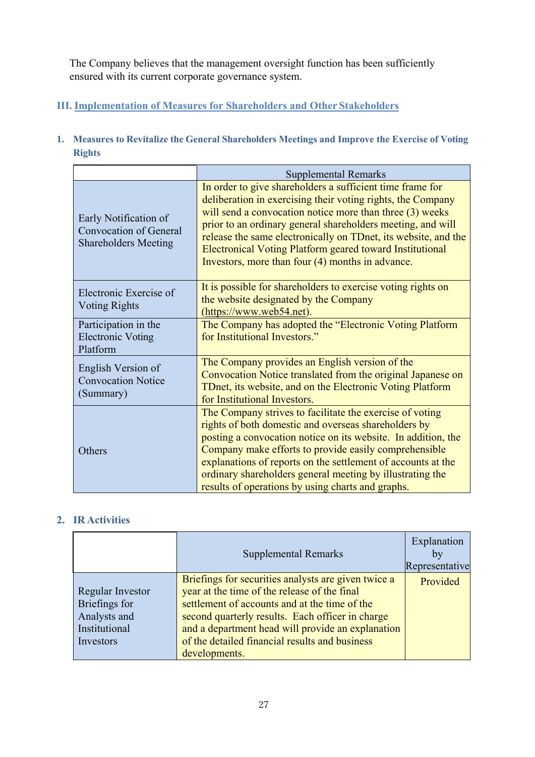The Company believes that the management oversight function has been sufficiently ensured with its current corporate governance system.

# **III. Implementation of Measures for Shareholders and Other Stakeholders**

**1. Measures to Revitalize the General Shareholders Meetings and Improve the Exercise of Voting Rights** 

|                                                                                | <b>Supplemental Remarks</b>                                                                                                                                                                                                                                                                                                                                                                                                                  |  |
|--------------------------------------------------------------------------------|----------------------------------------------------------------------------------------------------------------------------------------------------------------------------------------------------------------------------------------------------------------------------------------------------------------------------------------------------------------------------------------------------------------------------------------------|--|
| Early Notification of<br>Convocation of General<br><b>Shareholders Meeting</b> | In order to give shareholders a sufficient time frame for<br>deliberation in exercising their voting rights, the Company<br>will send a convocation notice more than three (3) weeks<br>prior to an ordinary general shareholders meeting, and will<br>release the same electronically on TDnet, its website, and the<br><b>Electronical Voting Platform geared toward Institutional</b><br>Investors, more than four (4) months in advance. |  |
| Electronic Exercise of<br><b>Voting Rights</b>                                 | It is possible for shareholders to exercise voting rights on<br>the website designated by the Company<br>(https://www.web54.net).                                                                                                                                                                                                                                                                                                            |  |
| Participation in the<br><b>Electronic Voting</b><br>Platform                   | The Company has adopted the "Electronic Voting Platform<br>for Institutional Investors."                                                                                                                                                                                                                                                                                                                                                     |  |
| English Version of<br><b>Convocation Notice</b><br>(Summary)                   | The Company provides an English version of the<br>Convocation Notice translated from the original Japanese on<br>TDnet, its website, and on the Electronic Voting Platform<br>for Institutional Investors.                                                                                                                                                                                                                                   |  |
| Others                                                                         | The Company strives to facilitate the exercise of voting<br>rights of both domestic and overseas shareholders by<br>posting a convocation notice on its website. In addition, the<br>Company make efforts to provide easily comprehensible<br>explanations of reports on the settlement of accounts at the<br>ordinary shareholders general meeting by illustrating the<br>results of operations by using charts and graphs.                 |  |

# **2. IR Activities**

|                                                                                        | <b>Supplemental Remarks</b>                                                                                                                                                                                                                                                                                                      | Explanation<br>by<br>Representative |
|----------------------------------------------------------------------------------------|----------------------------------------------------------------------------------------------------------------------------------------------------------------------------------------------------------------------------------------------------------------------------------------------------------------------------------|-------------------------------------|
| <b>Regular Investor</b><br>Briefings for<br>Analysts and<br>Institutional<br>Investors | Briefings for securities analysts are given twice a<br>year at the time of the release of the final<br>settlement of accounts and at the time of the<br>second quarterly results. Each officer in charge<br>and a department head will provide an explanation<br>of the detailed financial results and business<br>developments. | Provided                            |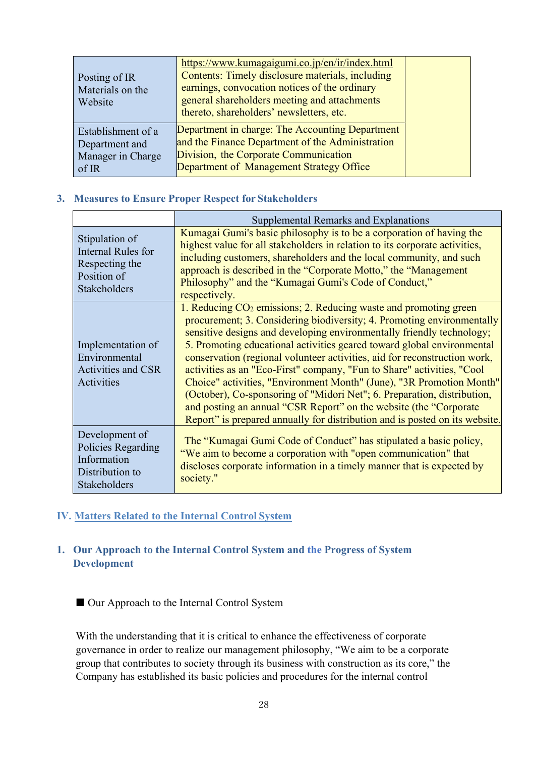| Posting of IR<br>Materials on the<br>Website | https://www.kumagaigumi.co.jp/en/ir/index.html<br>Contents: Timely disclosure materials, including<br>earnings, convocation notices of the ordinary<br>general shareholders meeting and attachments<br>thereto, shareholders' newsletters, etc. |
|----------------------------------------------|-------------------------------------------------------------------------------------------------------------------------------------------------------------------------------------------------------------------------------------------------|
| Establishment of a                           | Department in charge: The Accounting Department                                                                                                                                                                                                 |
| Department and                               | and the Finance Department of the Administration                                                                                                                                                                                                |
| Manager in Charge                            | Division, the Corporate Communication                                                                                                                                                                                                           |
| of IR                                        | Department of Management Strategy Office                                                                                                                                                                                                        |

#### **3. Measures to Ensure Proper Respect for Stakeholders**

|                                                                                              | Supplemental Remarks and Explanations                                                                                                                                                                                                                                                                                                                                                                                                                                                                                                                                                                                                                                                                                                                         |
|----------------------------------------------------------------------------------------------|---------------------------------------------------------------------------------------------------------------------------------------------------------------------------------------------------------------------------------------------------------------------------------------------------------------------------------------------------------------------------------------------------------------------------------------------------------------------------------------------------------------------------------------------------------------------------------------------------------------------------------------------------------------------------------------------------------------------------------------------------------------|
| Stipulation of<br><b>Internal Rules for</b><br>Respecting the<br>Position of<br>Stakeholders | Kumagai Gumi's basic philosophy is to be a corporation of having the<br>highest value for all stakeholders in relation to its corporate activities,<br>including customers, shareholders and the local community, and such<br>approach is described in the "Corporate Motto," the "Management"<br>Philosophy" and the "Kumagai Gumi's Code of Conduct,"<br>respectively.                                                                                                                                                                                                                                                                                                                                                                                      |
| Implementation of<br>Environmental<br><b>Activities and CSR</b><br>Activities                | 1. Reducing $CO2$ emissions; 2. Reducing waste and promoting green<br>procurement; 3. Considering biodiversity; 4. Promoting environmentally<br>sensitive designs and developing environmentally friendly technology;<br>5. Promoting educational activities geared toward global environmental<br>conservation (regional volunteer activities, aid for reconstruction work,<br>activities as an "Eco-First" company, "Fun to Share" activities, "Cool<br>Choice" activities, "Environment Month" (June), "3R Promotion Month"<br>(October), Co-sponsoring of "Midori Net"; 6. Preparation, distribution,<br>and posting an annual "CSR Report" on the website (the "Corporate<br>Report" is prepared annually for distribution and is posted on its website. |
| Development of<br>Policies Regarding<br>Information<br>Distribution to<br>Stakeholders       | The "Kumagai Gumi Code of Conduct" has stipulated a basic policy,<br>"We aim to become a corporation with "open communication" that<br>discloses corporate information in a timely manner that is expected by<br>society."                                                                                                                                                                                                                                                                                                                                                                                                                                                                                                                                    |

#### **IV. Matters Related to the Internal Control System**

### **1. Our Approach to the Internal Control System and the Progress of System Development**

■ Our Approach to the Internal Control System

With the understanding that it is critical to enhance the effectiveness of corporate governance in order to realize our management philosophy, "We aim to be a corporate group that contributes to society through its business with construction as its core," the Company has established its basic policies and procedures for the internal control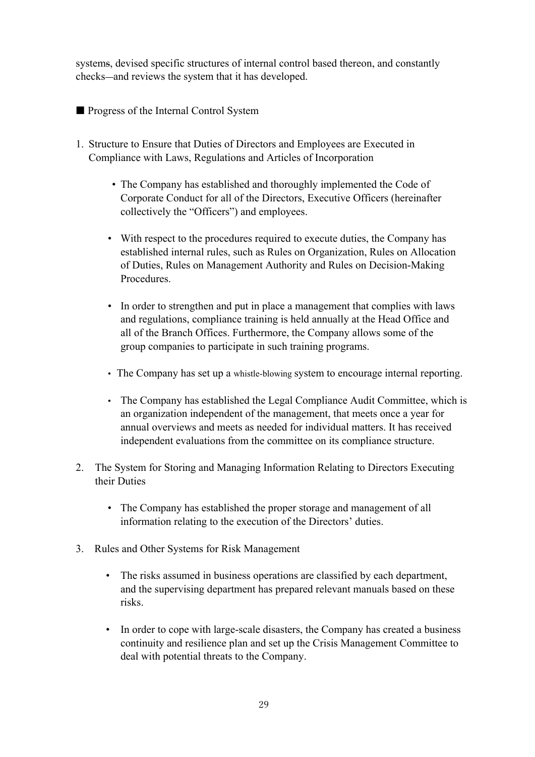systems, devised specific structures of internal control based thereon, and constantly checks—and reviews the system that it has developed.

- Progress of the Internal Control System
- 1. Structure to Ensure that Duties of Directors and Employees are Executed in Compliance with Laws, Regulations and Articles of Incorporation
	- The Company has established and thoroughly implemented the Code of Corporate Conduct for all of the Directors, Executive Officers (hereinafter collectively the "Officers") and employees.
	- With respect to the procedures required to execute duties, the Company has established internal rules, such as Rules on Organization, Rules on Allocation of Duties, Rules on Management Authority and Rules on Decision-Making Procedures.
	- In order to strengthen and put in place a management that complies with laws and regulations, compliance training is held annually at the Head Office and all of the Branch Offices. Furthermore, the Company allows some of the group companies to participate in such training programs.
	- The Company has set up a whistle-blowing system to encourage internal reporting.
	- The Company has established the Legal Compliance Audit Committee, which is an organization independent of the management, that meets once a year for annual overviews and meets as needed for individual matters. It has received independent evaluations from the committee on its compliance structure.
- 2. The System for Storing and Managing Information Relating to Directors Executing their Duties
	- The Company has established the proper storage and management of all information relating to the execution of the Directors' duties.
- 3. Rules and Other Systems for Risk Management
	- The risks assumed in business operations are classified by each department, and the supervising department has prepared relevant manuals based on these risks.
	- In order to cope with large-scale disasters, the Company has created a business continuity and resilience plan and set up the Crisis Management Committee to deal with potential threats to the Company.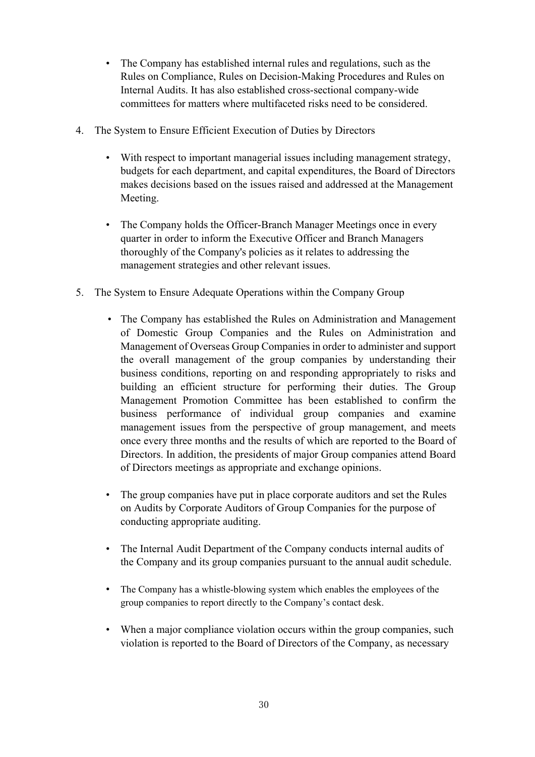- The Company has established internal rules and regulations, such as the Rules on Compliance, Rules on Decision-Making Procedures and Rules on Internal Audits. It has also established cross-sectional company-wide committees for matters where multifaceted risks need to be considered.
- 4. The System to Ensure Efficient Execution of Duties by Directors
	- With respect to important managerial issues including management strategy, budgets for each department, and capital expenditures, the Board of Directors makes decisions based on the issues raised and addressed at the Management Meeting.
	- The Company holds the Officer-Branch Manager Meetings once in every quarter in order to inform the Executive Officer and Branch Managers thoroughly of the Company's policies as it relates to addressing the management strategies and other relevant issues.
- 5. The System to Ensure Adequate Operations within the Company Group
	- The Company has established the Rules on Administration and Management of Domestic Group Companies and the Rules on Administration and Management of Overseas Group Companies in order to administer and support the overall management of the group companies by understanding their business conditions, reporting on and responding appropriately to risks and building an efficient structure for performing their duties. The Group Management Promotion Committee has been established to confirm the business performance of individual group companies and examine management issues from the perspective of group management, and meets once every three months and the results of which are reported to the Board of Directors. In addition, the presidents of major Group companies attend Board of Directors meetings as appropriate and exchange opinions.
	- The group companies have put in place corporate auditors and set the Rules on Audits by Corporate Auditors of Group Companies for the purpose of conducting appropriate auditing.
	- The Internal Audit Department of the Company conducts internal audits of the Company and its group companies pursuant to the annual audit schedule.
	- The Company has a whistle-blowing system which enables the employees of the group companies to report directly to the Company's contact desk.
	- When a major compliance violation occurs within the group companies, such violation is reported to the Board of Directors of the Company, as necessary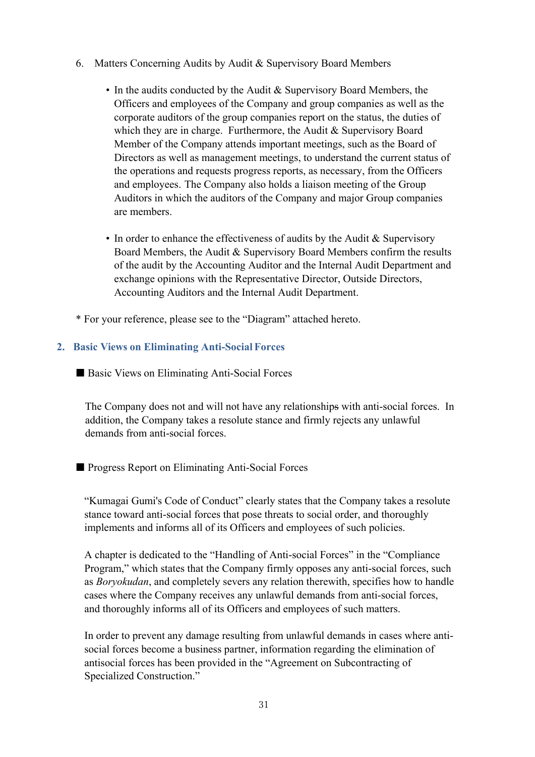- 6. Matters Concerning Audits by Audit & Supervisory Board Members
	- In the audits conducted by the Audit & Supervisory Board Members, the Officers and employees of the Company and group companies as well as the corporate auditors of the group companies report on the status, the duties of which they are in charge. Furthermore, the Audit & Supervisory Board Member of the Company attends important meetings, such as the Board of Directors as well as management meetings, to understand the current status of the operations and requests progress reports, as necessary, from the Officers and employees. The Company also holds a liaison meeting of the Group Auditors in which the auditors of the Company and major Group companies are members.
	- In order to enhance the effectiveness of audits by the Audit & Supervisory Board Members, the Audit & Supervisory Board Members confirm the results of the audit by the Accounting Auditor and the Internal Audit Department and exchange opinions with the Representative Director, Outside Directors, Accounting Auditors and the Internal Audit Department.
- \* For your reference, please see to the "Diagram" attached hereto.

### **2. Basic Views on Eliminating Anti-Social Forces**

■ Basic Views on Eliminating Anti-Social Forces

The Company does not and will not have any relationships with anti-social forces. In addition, the Company takes a resolute stance and firmly rejects any unlawful demands from anti-social forces.

### ■ Progress Report on Eliminating Anti-Social Forces

"Kumagai Gumi's Code of Conduct" clearly states that the Company takes a resolute stance toward anti-social forces that pose threats to social order, and thoroughly implements and informs all of its Officers and employees of such policies.

A chapter is dedicated to the "Handling of Anti-social Forces" in the "Compliance Program," which states that the Company firmly opposes any anti-social forces, such as *Boryokudan*, and completely severs any relation therewith, specifies how to handle cases where the Company receives any unlawful demands from anti-social forces, and thoroughly informs all of its Officers and employees of such matters.

In order to prevent any damage resulting from unlawful demands in cases where antisocial forces become a business partner, information regarding the elimination of antisocial forces has been provided in the "Agreement on Subcontracting of Specialized Construction."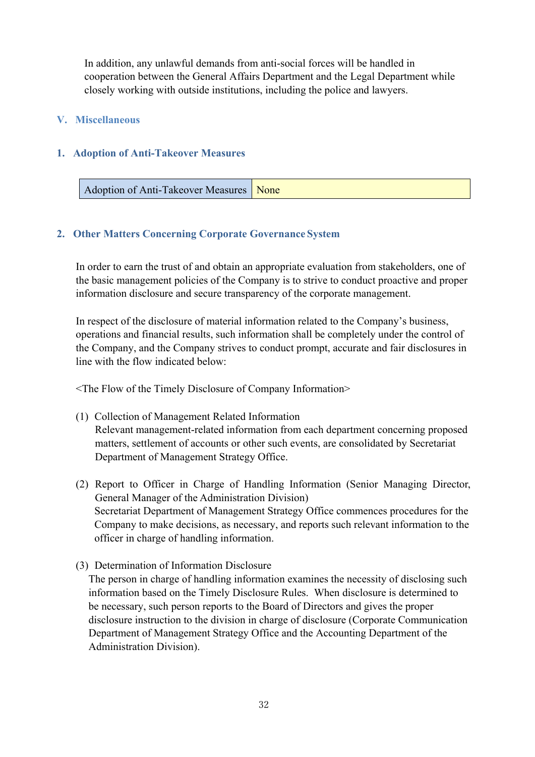In addition, any unlawful demands from anti-social forces will be handled in cooperation between the General Affairs Department and the Legal Department while closely working with outside institutions, including the police and lawyers.

#### **V. Miscellaneous**

#### **1. Adoption of Anti-Takeover Measures**

| Adoption of Anti-Takeover Measures None |  |
|-----------------------------------------|--|
|-----------------------------------------|--|

### **2. Other Matters Concerning Corporate Governance System**

In order to earn the trust of and obtain an appropriate evaluation from stakeholders, one of the basic management policies of the Company is to strive to conduct proactive and proper information disclosure and secure transparency of the corporate management.

In respect of the disclosure of material information related to the Company's business, operations and financial results, such information shall be completely under the control of the Company, and the Company strives to conduct prompt, accurate and fair disclosures in line with the flow indicated below:

<The Flow of the Timely Disclosure of Company Information>

- (1) Collection of Management Related Information Relevant management-related information from each department concerning proposed matters, settlement of accounts or other such events, are consolidated by Secretariat Department of Management Strategy Office.
- (2) Report to Officer in Charge of Handling Information (Senior Managing Director, General Manager of the Administration Division) Secretariat Department of Management Strategy Office commences procedures for the Company to make decisions, as necessary, and reports such relevant information to the officer in charge of handling information.
- (3) Determination of Information Disclosure

The person in charge of handling information examines the necessity of disclosing such information based on the Timely Disclosure Rules. When disclosure is determined to be necessary, such person reports to the Board of Directors and gives the proper disclosure instruction to the division in charge of disclosure (Corporate Communication Department of Management Strategy Office and the Accounting Department of the Administration Division).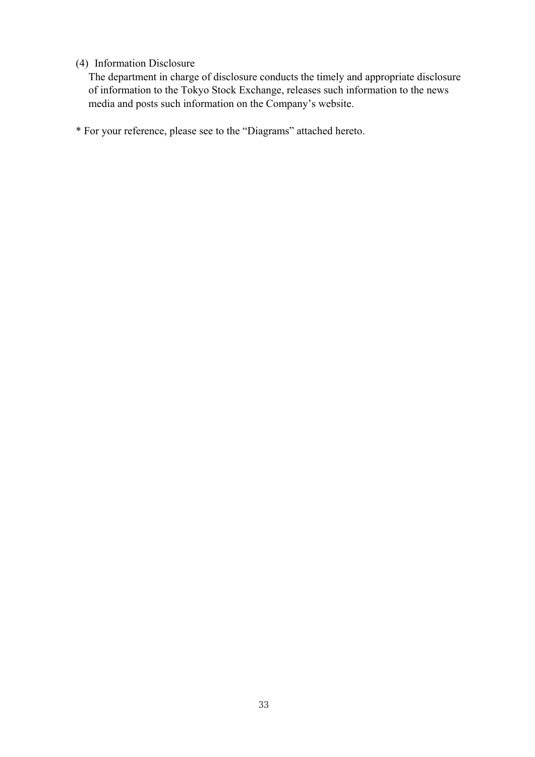## (4) Information Disclosure

The department in charge of disclosure conducts the timely and appropriate disclosure of information to the Tokyo Stock Exchange, releases such information to the news media and posts such information on the Company's website.

\* For your reference, please see to the "Diagrams" attached hereto.